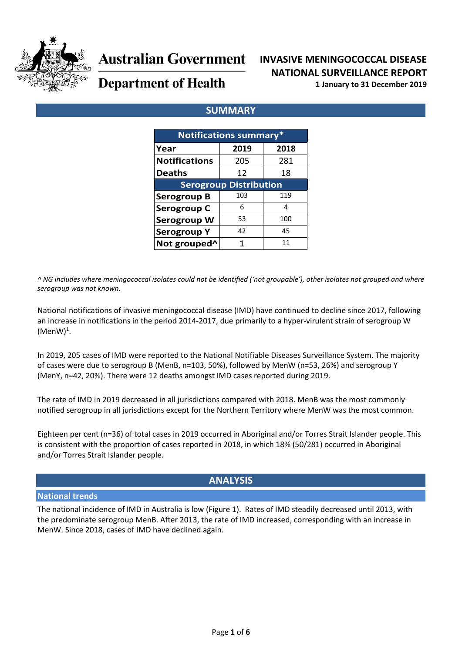

# **Australian Government**

# **INVASIVE MENINGOCOCCAL DISEASE NATIONAL SURVEILLANCE REPORT**

**Department of Health** 

# **1 January to 31 December 2019**

# **SUMMARY**

| <b>Notifications summary*</b> |      |      |  |  |  |  |  |  |
|-------------------------------|------|------|--|--|--|--|--|--|
| Year                          | 2019 | 2018 |  |  |  |  |  |  |
| <b>Notifications</b>          | 205  | 281  |  |  |  |  |  |  |
| <b>Deaths</b>                 | 12   | 18   |  |  |  |  |  |  |
| <b>Serogroup Distribution</b> |      |      |  |  |  |  |  |  |
| <b>Serogroup B</b>            | 103  | 119  |  |  |  |  |  |  |
| Serogroup C                   | 6    | 4    |  |  |  |  |  |  |
| Serogroup W                   | 53   | 100  |  |  |  |  |  |  |
| <b>Serogroup Y</b>            | 42   | 45   |  |  |  |  |  |  |
| Not grouped <sup>^</sup>      |      | 11   |  |  |  |  |  |  |

*^ NG includes where meningococcal isolates could not be identified ('not groupable'), other isolates not grouped and where serogroup was not known.*

National notifications of invasive meningococcal disease (IMD) have continued to decline since 2017, following an increase in notifications in the period 2014-2017, due primarily to a hyper-virulent strain of serogroup W  $(MenW)^1$ .

In 2019, 205 cases of IMD were reported to the National Notifiable Diseases Surveillance System. The majority of cases were due to serogroup B (MenB, n=103, 50%), followed by MenW (n=53, 26%) and serogroup Y (MenY, n=42, 20%). There were 12 deaths amongst IMD cases reported during 2019.

The rate of IMD in 2019 decreased in all jurisdictions compared with 2018. MenB was the most commonly notified serogroup in all jurisdictions except for the Northern Territory where MenW was the most common.

Eighteen per cent (n=36) of total cases in 2019 occurred in Aboriginal and/or Torres Strait Islander people. This is consistent with the proportion of cases reported in 2018, in which 18% (50/281) occurred in Aboriginal and/or Torres Strait Islander people.

# **ANALYSIS**

#### **National trends**

The national incidence of IMD in Australia is low [\(Figure 1\)](#page-1-0). Rates of IMD steadily decreased until 2013, with the predominate serogroup MenB. After 2013, the rate of IMD increased, corresponding with an increase in MenW. Since 2018, cases of IMD have declined again.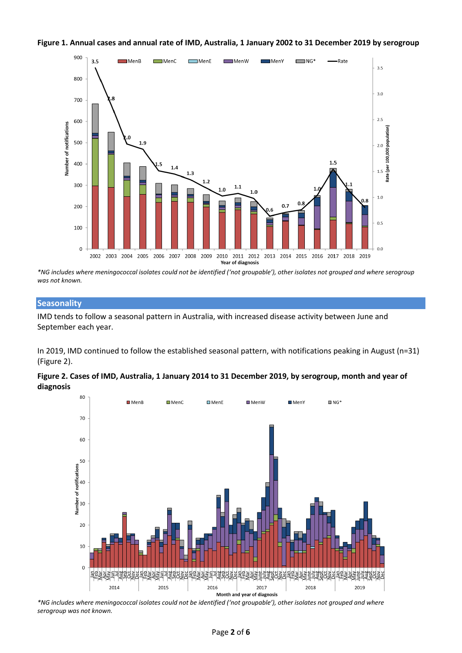

#### <span id="page-1-0"></span>**Figure 1. Annual cases and annual rate of IMD, Australia, 1 January 2002 to 31 December 2019 by serogroup**

*\*NG includes where meningococcal isolates could not be identified ('not groupable'), other isolates not grouped and where serogroup was not known.*

#### **Seasonality**

IMD tends to follow a seasonal pattern in Australia, with increased disease activity between June and September each year.

In 2019, IMD continued to follow the established seasonal pattern, with notifications peaking in August (n=31) [\(Figure 2\)](#page-1-1).

<span id="page-1-1"></span>



*\*NG includes where meningococcal isolates could not be identified ('not groupable'), other isolates not grouped and where serogroup was not known.*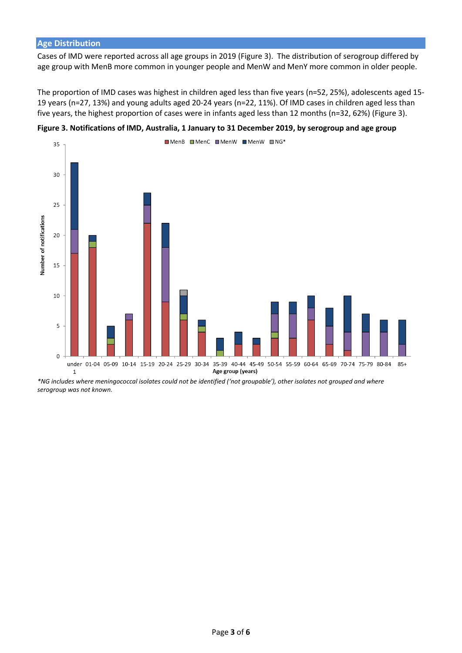#### **Age Distribution**

Cases of IMD were reported across all age groups in 2019 [\(Figure 3\)](#page-2-0). The distribution of serogroup differed by age group with MenB more common in younger people and MenW and MenY more common in older people.

The proportion of IMD cases was highest in children aged less than five years (n=52, 25%), adolescents aged 15- 19 years (n=27, 13%) and young adults aged 20-24 years (n=22, 11%). Of IMD cases in children aged less than five years, the highest proportion of cases were in infants aged less than 12 months (n=32, 62%) (Figure 3).



<span id="page-2-0"></span>**Figure 3. Notifications of IMD, Australia, 1 January to 31 December 2019, by serogroup and age group** 

*\*NG includes where meningococcal isolates could not be identified ('not groupable'), other isolates not grouped and where serogroup was not known.*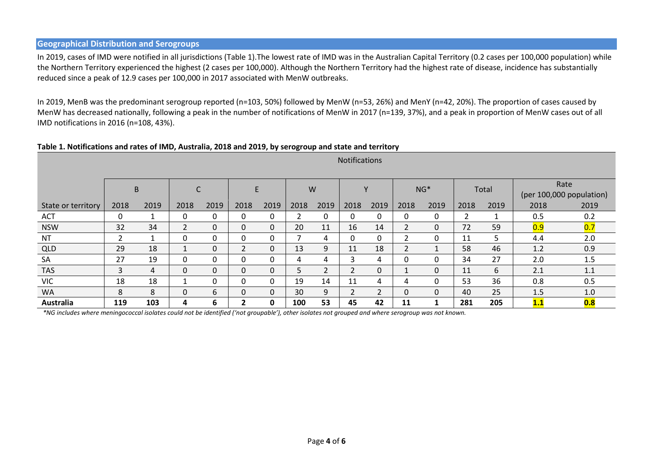#### **Geographical Distribution and Serogroups**

In 2019, cases of IMD were notified in all jurisdictions [\(Table 1\)](#page-3-0).The lowest rate of IMD was in the Australian Capital Territory (0.2 cases per 100,000 population) while the Northern Territory experienced the highest (2 cases per 100,000). Although the Northern Territory had the highest rate of disease, incidence has substantially reduced since a peak of 12.9 cases per 100,000 in 2017 associated with MenW outbreaks.

In 2019, MenB was the predominant serogroup reported (n=103, 50%) followed by MenW (n=53, 26%) and MenY (n=42, 20%). The proportion of cases caused by MenW has decreased nationally, following a peak in the number of notifications of MenW in 2017 (n=139, 37%), and a peak in proportion of MenW cases out of all IMD notifications in 2016 (n=108, 43%).

<span id="page-3-0"></span>

| Table 1. Notifications and rates of IMD, Australia, 2018 and 2019, by serogroup and state and territory |  |
|---------------------------------------------------------------------------------------------------------|--|
|---------------------------------------------------------------------------------------------------------|--|

|                    | <b>Notifications</b> |      |                |              |                |              |      |      |          |      |                |              |      |       |                          |      |
|--------------------|----------------------|------|----------------|--------------|----------------|--------------|------|------|----------|------|----------------|--------------|------|-------|--------------------------|------|
|                    |                      |      |                |              |                |              |      |      |          |      |                |              |      |       |                          |      |
|                    |                      | B    |                |              | E              |              |      | W    |          | ۷    |                | $NG*$        |      | Total |                          | Rate |
|                    |                      |      |                |              |                |              |      |      |          |      |                |              |      |       | (per 100,000 population) |      |
| State or territory | 2018                 | 2019 | 2018           | 2019         | 2018           | 2019         | 2018 | 2019 | 2018     | 2019 | 2018           | 2019         | 2018 | 2019  | 2018                     | 2019 |
| <b>ACT</b>         | $\mathbf{0}$         |      | 0              | 0            | 0              | 0            |      | 0    | 0        | 0    | 0              | $\mathbf{0}$ | 2    |       | 0.5                      | 0.2  |
| <b>NSW</b>         | 32                   | 34   | $\overline{2}$ | 0            | $\Omega$       | $\mathbf{0}$ | 20   | 11   | 16       | 14   | $\overline{2}$ | $\Omega$     | 72   | 59    | 0.9                      | 0.7  |
| <b>NT</b>          | ว                    |      | 0              | 0            | 0              | 0            |      | 4    | $\Omega$ | 0    |                | 0            | 11   | 5     | 4.4                      | 2.0  |
| QLD                | 29                   | 18   |                | $\Omega$     | $\overline{2}$ | $\mathbf 0$  | 13   | 9    | 11       | 18   | $\overline{2}$ | $\mathbf{A}$ | 58   | 46    | 1.2                      | 0.9  |
| <b>SA</b>          | 27                   | 19   | 0              | 0            | 0              | $\mathbf{0}$ | 4    | 4    | 3        | 4    | 0              | $\mathbf{0}$ | 34   | 27    | 2.0                      | 1.5  |
| <b>TAS</b>         | 3                    | 4    | $\Omega$       | $\mathbf{0}$ | $\Omega$       | $\mathbf 0$  | 5.   | ำ    | ำ        | 0    |                | $\Omega$     | 11   | 6     | 2.1                      | 1.1  |
| <b>VIC</b>         | 18                   | 18   |                | 0            | 0              | $\mathbf{0}$ | 19   | 14   | 11       | 4    | 4              | $\Omega$     | 53   | 36    | 0.8                      | 0.5  |
| <b>WA</b>          | 8                    | 8    | 0              | 6            | 0              | 0            | 30   | 9    |          | 2    | 0              | $\mathbf{0}$ | 40   | 25    | 1.5                      | 1.0  |
| Australia          | 119                  | 103  | 4              | 6            | $\mathbf{2}$   | $\mathbf 0$  | 100  | 53   | 45       | 42   | 11             |              | 281  | 205   | 1.1                      | 0.8  |

*\*NG includes where meningococcal isolates could not be identified ('not groupable'), other isolates not grouped and where serogroup was not known.*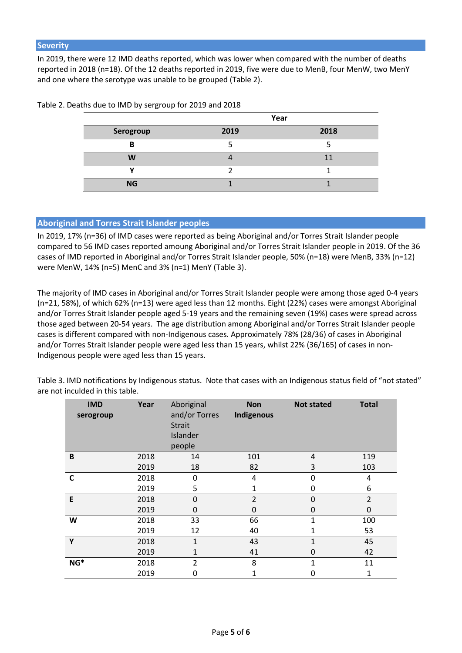In 2019, there were 12 IMD deaths reported, which was lower when compared with the number of deaths reported in 2018 (n=18). Of the 12 deaths reported in 2019, five were due to MenB, four MenW, two MenY and one where the serotype was unable to be grouped (Table 2).

|           | Year |      |  |  |  |
|-----------|------|------|--|--|--|
| Serogroup | 2019 | 2018 |  |  |  |
| в         |      |      |  |  |  |
| W         |      |      |  |  |  |
|           |      |      |  |  |  |
| <b>NG</b> |      |      |  |  |  |

Table 2. Deaths due to IMD by sergroup for 2019 and 2018

#### **Aboriginal and Torres Strait Islander peoples**

In 2019, 17% (n=36) of IMD cases were reported as being Aboriginal and/or Torres Strait Islander people compared to 56 IMD cases reported amoung Aboriginal and/or Torres Strait Islander people in 2019. Of the 36 cases of IMD reported in Aboriginal and/or Torres Strait Islander people, 50% (n=18) were MenB, 33% (n=12) were MenW, 14% (n=5) MenC and 3% (n=1) MenY (Table 3).

The majority of IMD cases in Aboriginal and/or Torres Strait Islander people were among those aged 0-4 years (n=21, 58%), of which 62% (n=13) were aged less than 12 months. Eight (22%) cases were amongst Aboriginal and/or Torres Strait Islander people aged 5-19 years and the remaining seven (19%) cases were spread across those aged between 20-54 years. The age distribution among Aboriginal and/or Torres Strait Islander people cases is different compared with non-Indigenous cases. Approximately 78% (28/36) of cases in Aboriginal and/or Torres Strait Islander people were aged less than 15 years, whilst 22% (36/165) of cases in non-Indigenous people were aged less than 15 years.

Table 3. IMD notifications by Indigenous status. Note that cases with an Indigenous status field of "not stated" are not inculded in this table.

| <b>IMD</b><br>serogroup | Year | Aboriginal<br>and/or Torres<br><b>Strait</b><br>Islander<br>people | <b>Non</b><br>Indigenous | <b>Not stated</b> | <b>Total</b>   |
|-------------------------|------|--------------------------------------------------------------------|--------------------------|-------------------|----------------|
| B                       | 2018 | 14                                                                 | 101                      | 4                 | 119            |
|                         | 2019 | 18                                                                 | 82                       | 3                 | 103            |
| C                       | 2018 | 0                                                                  | 4                        | 0                 | 4              |
|                         | 2019 | 5                                                                  | 1                        | 0                 | 6              |
| E                       | 2018 | $\Omega$                                                           | $\overline{2}$           | 0                 | $\overline{2}$ |
|                         | 2019 | 0                                                                  | $\Omega$                 | 0                 | 0              |
| W                       | 2018 | 33                                                                 | 66                       | 1                 | 100            |
|                         | 2019 | 12                                                                 | 40                       | 1                 | 53             |
| Y                       | 2018 | 1                                                                  | 43                       | 1                 | 45             |
|                         | 2019 | 1                                                                  | 41                       | 0                 | 42             |
| NG*                     | 2018 | $\overline{2}$                                                     | 8                        | 1                 | 11             |
|                         | 2019 | 0                                                                  |                          | 0                 | 1              |